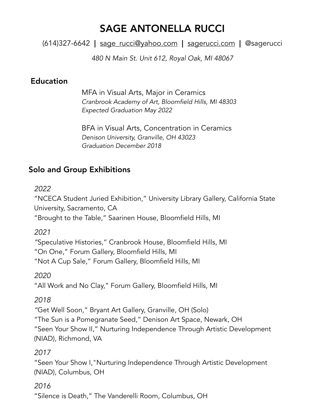# SAGE ANTONELLA RUCCI

(614)327-6642 | [sage\\_rucci@yahoo.com](mailto:sage_rucci@yahoo.com) | [sagerucci.com](http://sagerucci.com) | @sagerucci

*480 N Main St. Unit 612, Royal Oak, MI 48067*

### **Education**

MFA in Visual Arts, Major in Ceramics *Cranbrook Academy of Art, Bloomfield Hills, MI 48303 Expected Graduation May 2022* 

BFA in Visual Arts, Concentration in Ceramics *Denison University, Granville, OH 43023 Graduation December 2018*

## Solo and Group Exhibitions

*2022* 

"NCECA Student Juried Exhibition," University Library Gallery, California State University, Sacramento, CA "Brought to the Table," Saarinen House, Bloomfield Hills, MI

*2021* 

*"*Speculative Histories," Cranbrook House, Bloomfield Hills, MI "On One," Forum Gallery, Bloomfield Hills, MI "Not A Cup Sale," Forum Gallery, Bloomfield Hills, MI

*2020* 

"All Work and No Clay," Forum Gallery, Bloomfield Hills, MI

*2018* 

*"*Get Well Soon," Bryant Art Gallery, Granville, OH (Solo) "The Sun is a Pomegranate Seed," Denison Art Space, Newark, OH "Seen Your Show II," Nurturing Independence Through Artistic Development (NIAD), Richmond, VA

*2017* 

"Seen Your Show I,"Nurturing Independence Through Artistic Development (NIAD), Columbus, OH

*2016*  "Silence is Death," The Vanderelli Room, Columbus, OH